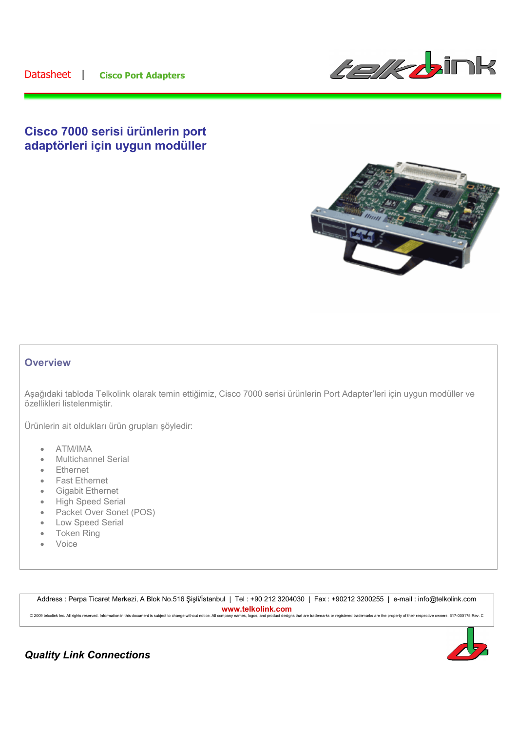

## **Cisco 7000 serisi ürünlerin port adaptörleri için uygun modüller**



## **Overview**

Aşağıdaki tabloda Telkolink olarak temin ettiğimiz, Cisco 7000 serisi ürünlerin Port Adapter'leri için uygun modüller ve özellikleri listelenmiştir.

Ürünlerin ait oldukları ürün grupları şöyledir:

- ATM/IMA
- Multichannel Serial
- **Ethernet**
- Fast Ethernet
- Gigabit Ethernet
- High Speed Serial
- Packet Over Sonet (POS)
- Low Speed Serial
- **Token Ring**
- Voice

Address : Perpa Ticaret Merkezi, A Blok No.516 Şişli/İstanbul | Tel : +90 212 3204030 | Fax : +90212 3200255 | e-mail : info@telkolink.com **www.telkolink.com**<br>nmpany names logos and product designs that are trademarks or registered trademarks are the property of their respective owners. 617-000175 Rev. C. © 2009 telcolink Inc. All rights reserved. Information in this document is subject to change without notice. All company nam



## *Quality Link Connections*